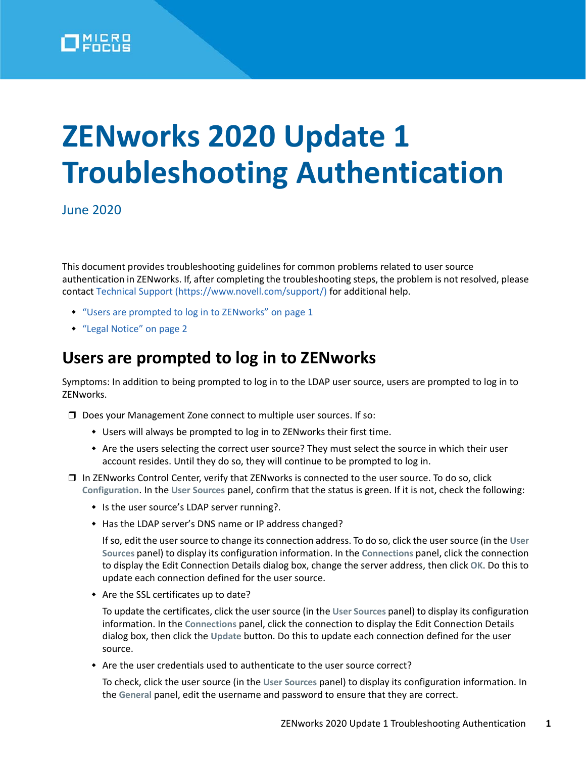

## **ZENworks 2020 Update 1 Troubleshooting Authentication**

June 2020

This document provides troubleshooting guidelines for common problems related to user source authentication in ZENworks. If, after completing the troubleshooting steps, the problem is not resolved, please contact [Technical Support](https://www.novell.com/support/) (https://www.novell.com/support/) for additional help.

- ["Users are prompted to log in to ZENworks" on page 1](#page-0-0)
- ["Legal Notice" on page 2](#page-1-0)

## <span id="page-0-0"></span>**Users are prompted to log in to ZENworks**

Symptoms: In addition to being prompted to log in to the LDAP user source, users are prompted to log in to ZENworks.

- Does your Management Zone connect to multiple user sources. If so:
	- Users will always be prompted to log in to ZENworks their first time.
	- Are the users selecting the correct user source? They must select the source in which their user account resides. Until they do so, they will continue to be prompted to log in.
- $\Box$  In ZENworks Control Center, verify that ZENworks is connected to the user source. To do so, click **Configuration**. In the **User Sources** panel, confirm that the status is green. If it is not, check the following:
	- Is the user source's LDAP server running?.
	- Has the LDAP server's DNS name or IP address changed?

If so, edit the user source to change its connection address. To do so, click the user source (in the **User Sources** panel) to display its configuration information. In the **Connections** panel, click the connection to display the Edit Connection Details dialog box, change the server address, then click **OK**. Do this to update each connection defined for the user source.

Are the SSL certificates up to date?

To update the certificates, click the user source (in the **User Sources** panel) to display its configuration information. In the **Connections** panel, click the connection to display the Edit Connection Details dialog box, then click the **Update** button. Do this to update each connection defined for the user source.

Are the user credentials used to authenticate to the user source correct?

To check, click the user source (in the **User Sources** panel) to display its configuration information. In the **General** panel, edit the username and password to ensure that they are correct.